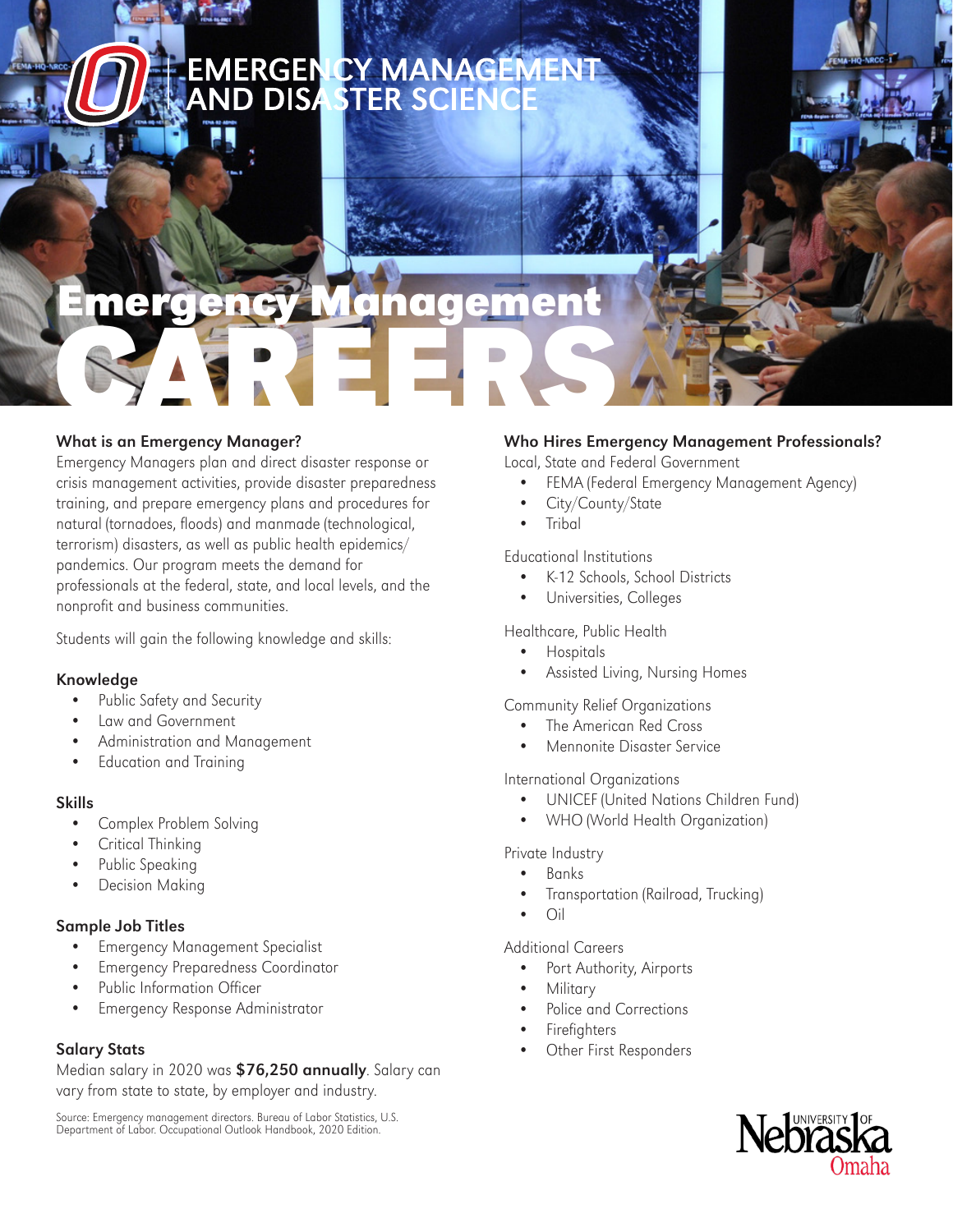# **EMERGEN CY MANAGEMEN<br>AND DISA STER SCIENCE**

# nergency Managemen CAREERS

#### What is an Emergency Manager?

Emergency Managers plan and direct disaster response or crisis management activities, provide disaster preparedness training, and prepare emergency plans and procedures for natural (tornadoes, floods) and manmade (technological, terrorism) disasters, as well as public health epidemics/ pandemics. Our program meets the demand for professionals at the federal, state, and local levels, and the nonprofit and business communities.

Students will gain the following knowledge and skills:

#### Knowledge

- Public Safety and Security
- Law and Government
- Administration and Management
- Education and Training

#### Skills

- Complex Problem Solving
- Critical Thinking
- Public Speaking
- Decision Making

#### Sample Job Titles

- Emergency Management Specialist
- Emergency Preparedness Coordinator
- Public Information Officer
- Emergency Response Administrator

#### Salary Stats

Median salary in 2020 was \$76,250 annually. Salary can vary from state to state, by employer and industry.

Source: Emergency management directors. Bureau of Labor Statistics, U.S. Department of Labor. Occupational Outlook Handbook, 2020 Edition.

#### Who Hires Emergency Management Professionals?

Local, State and Federal Government

- FEMA (Federal Emergency Management Agency)
- City/County/State
- Tribal

#### Educational Institutions

- K-12 Schools, School Districts
- Universities, Colleges

#### Healthcare, Public Health

- **Hospitals**
- Assisted Living, Nursing Homes

#### Community Relief Organizations

- The American Red Cross
- Mennonite Disaster Service

#### International Organizations

- UNICEF (United Nations Children Fund)
- WHO (World Health Organization)

#### Private Industry

- Banks
- Transportation (Railroad, Trucking)
- Oil

#### Additional Careers

- Port Authority, Airports
- **Military**
- Police and Corrections
- **Firefighters**
- Other First Responders